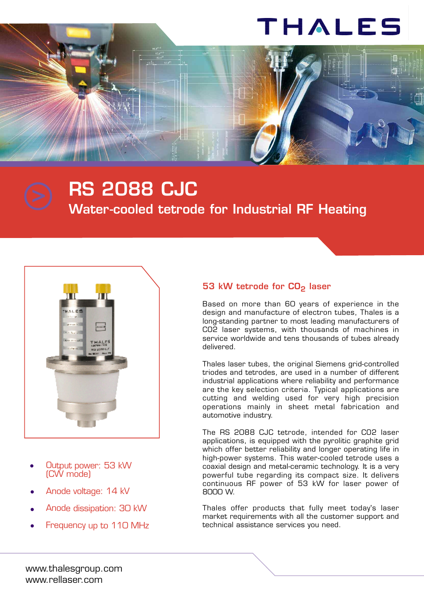# THALES



## **RS 2088 CJC Water-cooled tetrode for Industrial RF Heating**



- Output power: 53 kW (CW mode) •
- Anode voltage: 14 kV •
- Anode dissipation: 30 kW •
- Frequency up to 110 MHz •

### **53 kW tetrode for CO2 laser**

Based on more than 60 years of experience in the design and manufacture of electron tubes, Thales is a long-standing partner to most leading manufacturers of CO2 laser systems, with thousands of machines in service worldwide and tens thousands of tubes already delivered.

Thales laser tubes, the original Siemens grid-controlled triodes and tetrodes, are used in a number of different industrial applications where reliability and performance are the key selection criteria. Typical applications are cutting and welding used for very high precision operations mainly in sheet metal fabrication and automotive industry.

The RS 2088 CJC tetrode, intended for CO2 laser applications, is equipped with the pyrolitic graphite grid which offer better reliability and longer operating life in high-power systems. This water-cooled tetrode uses a coaxial design and metal-ceramic technology. It is a very powerful tube regarding its compact size. It delivers continuous RF power of 53 kW for laser power of 8000 W.

Thales offer products that fully meet today's laser market requirements with all the customer support and technical assistance services you need.